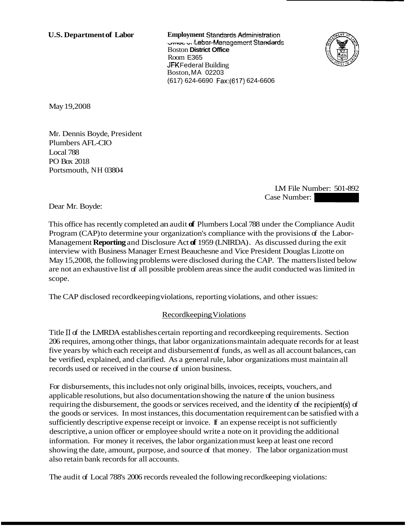**U.S. Department of Labor Employment Standards Administration**  - **--F.~l~l>\**  3**1**320 **3** Advertised Management Standards Boston **District Office**  Room E365 JFK Federal Building Boston, MA 02203 (617) 624-6690 Fax:(617) 624-6606



May 19,2008

Mr. Dennis Boyde, President Plumbers AFL-CIO Local 788 PO Box 2018 Portsmouth, NH 03804

LM File Number: 501-892 EM File Number: 501-892<br>Case Number: 201-892<br>Inder the Compliance Audit

Dear Mr. Boyde:

This office has recently completed an audit **of** Plumbers Local 788 under the Compliance Audit Program (CAP) to determine your organization's compliance with the provisions of the Labor-Management **Reporting** and Disclosure Act **of** 1959 (LNIRDA) . As discussed during the exit interview with Business Manager Ernest Beauchesne and Vice President Douglas Lizotte on May 15,2008, the following problems were disclosed during the CAP. The matters listed below are not an exhaustive list of all possible problem areas since the audit conducted was limited in scope.

The CAP disclosed recordkeeping violations, reporting violations, and other issues:

# Recordkeeping Violations

Title 11 of the LMRDA establishes certain reporting and recordkeeping requirements. Section 206 requires, among other things, that labor organizations maintain adequate records for at least five years by which each receipt and disbursement of funds, as well as all account balances, can be verified, explained, and clarified. As a general rule, labor organizations must maintain all records used or received in the course of union business.

For disbursements, this includes not only original bills, invoices, receipts, vouchers, and applicable resolutions, but also documentation showing the nature  $f$  the union business requiring the disbursement, the goods or services received, and the identity of the recipient(s) of the goods or services. In most instances, this documentation requirement can be satisfied with a sufficiently descriptive expense receipt or invoice. **If** an expense receipt is not sufficiently descriptive, a union officer or employee should write a note on it providing the additional information. For money it receives, the labor organization must keep at least one record showing the date, amount, purpose, and source of that money. The labor organization must also retain bank records for all accounts.

The audit of Local 788's 2006 records revealed the following record keeping violations: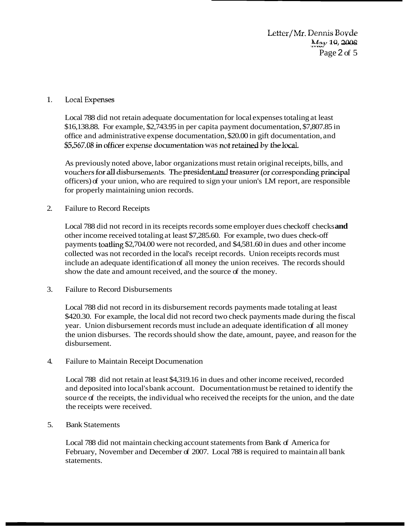Letter/Mr. Dennis Boyde M<sub>2</sub>y 19, 2008 Page 2 of 5

#### $1<sub>1</sub>$ **Local Expenses**

Local 788 did not retain adequate documentation for local expenses totaling at least \$16,138.88. For example, \$2,743.95 in per capita payment documentation, \$7,807.85 in office and administrative expense documentation, \$20.00 in gift documentation, and \$5,567.08 in officer expense documentation was not retained by the local.

As previously noted above, labor organizations must retain original receipts, bills, and vouchers for all disbursements. The president and treasurer (or corresponding principal officers) of your union, who are required to sign your union's LM report, are responsible for properly maintaining union records.

#### 2. Failure to Record Receipts

Local 788 did not record in its receipts records some employer dues checkoff checks **and**  other income received totaling at least \$7,285.60. For example, two dues check-off payments toatling \$2,704.00 were not recorded, and \$4,581.60 in dues and other income collected was not recorded in the local's receipt records. Union receipts records must include an adequate identification of all money the union receives. The records should show the date and amount received, and the source of the money.

3. Failure to Record Disbursements

Local 788 did not record in its disbursement records payments made totaling at least \$420.30. For example, the local did not record two check payments made during the fiscal year. Union disbursement records must include an adequate identification of all money the union disburses. The records should show the date, amount, payee, and reason for the disbursement.

4. Failure to Maintain Receipt Documenation

Local 788 did not retain at least \$4,319.16 in dues and other income received, recorded and deposited into local's bank account. Documentation must be retained to identify the source of the receipts, the individual who received the receipts for the union, and the date the receipts were received.

#### 5. Bank Statements

Local 788 did not maintain checking account statements from Bank of America for February, November and December of 2007. Local 788 is required to maintain all bank statements.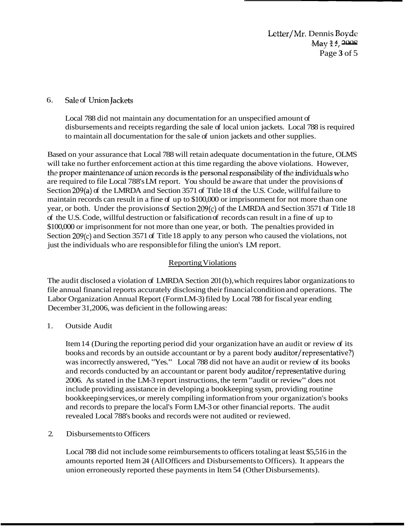Letter/Mr. Dennis Boyde **May 34, 2008** -1 ", - Page **3** of 5

# 6. Sale of Union Jackets

Local 788 did not maintain any documentation for an unspecified amount of disbursements and receipts regarding the sale of local union jackets. Local 788 is required to maintain all documentation for the sale of union jackets and other supplies.

Based on your assurance that Local 788 will retain adequate documentation in the future, OLMS will take no further enforcement action at this time regarding the above violations. However, the proper maintenance of union records is the personal responsibility of the individuals who are required to file Local 788's LM report. You should be aware that under the provisions of Section 209(a) of the LMRDA and Section 3571 of Title 18 of the U.S. Code, willful failure to maintain records can result in a fine of up to \$100,000 or imprisonment for not more than one year, or both. Under the provisions of Section 209(c) of the LMRDA and Section 3571 of Title 18 of the U.S. Code, willful destruction or falsification of records can result in a fine of up to \$100,000 or imprisonment for not more than one year, or both. The penalties provided in Section 209(c) and Section 3571 of Title 18 apply to any person who caused the violations, not just the individuals who are responsible for filing the union's LM report.

# Reporting Violations

The audit disclosed a violation of LMRDA Section 201 (b), which requires labor organizations to file annual financial reports accurately disclosing their financial condition and operations. The Labor Organization Annual Report (Form LM-3) filed by Local 788 for fiscal year ending December 31,2006, was deficient in the following areas:

1. Outside Audit

Item 14 (During the reporting period did your organization have an audit or review of its books and records by an outside accountant or by a parent body auditor/representative?) was incorrectly answered, "Yes." Local 788 did not have an audit or review of its books and records conducted by an accountant or parent body auditor/representative during 2006. As stated in the LM-3 report instructions, the term "audit or review" does not include providing assistance in developing a bookkeeping sysm, providing routine bookkeeping services, or merely compiling information from your organization's books and records to prepare the local's Form LM-3 or other financial reports. The audit revealed Local 788's books and records were not audited or reviewed.

## 2. Disbursements to Officers

Local 788 did not include some reimbursements to officers totaling at least \$5,516 in the amounts reported Item 24 (All Officers and Disbursements to Officers). It appears the union erroneously reported these payments in Item 54 (Other Disbursements).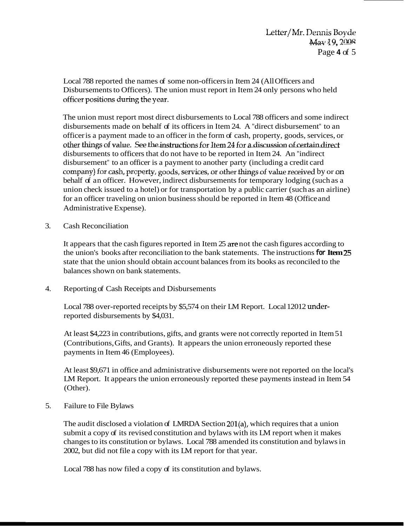Local 788 reported the names of some non-officers in Item 24 (All Officers and Disbursements to Officers). The union must report in Item 24 only persons who held officer positions during the year.

The union must report most direct disbursements to Local 788 officers and some indirect disbursements made on behalf of its officers in Item 24. A "direct disbursement" to an officer is a payment made to an officer in the form of cash, property, goods, services, or **offer things of value. See the instructions for Item 24 for a discussion of certain direct** disbursements to officers that do not have to be reported in Item 24. An "indirect disbursement" to an officer is a payment to another party (including a credit card company) for cash, property, goods, services, or other things of value received by or on behalf of an officer. However, indirect disbursements for temporary lodging (such as a union check issued to a hotel) or for transportation by a public carrier (such as an airline) for an officer traveling on union business should be reported in Item 48 (Office and Administrative Expense).

3. Cash Reconciliation

It appears that the cash figures reported in Item 25 are not the cash figures according to the union's books after reconciliation to the bank statements. The instructions **for Item** *W*  state that the union should obtain account balances from its books as reconciled to the balances shown on bank statements.

4. Reporting of Cash Receipts and Disbursements

Local 788 over-reported receipts by \$5,574 on their LM Report. Local 12012 underreported disbursements by \$4,031.

At least \$4,223 in contributions, gifts, and grants were not correctly reported in Item 51 (Contributions, Gifts, and Grants). It appears the union erroneously reported these payments in Item 46 (Employees).

At least \$9,671 in office and administrative disbursements were not reported on the local's LM Report. It appears the union erroneously reported these payments instead in Item 54 (Other).

5. Failure to File Bylaws

The audit disclosed a violation of LMRDA Section  $201(a)$ , which requires that a union submit a copy of its revised constitution and bylaws with its LM report when it makes changes to its constitution or bylaws. Local 788 amended its constitution and bylaws in 2002, but did not file a copy with its LM report for that year.

Local 788 has now filed a copy of its constitution and bylaws.